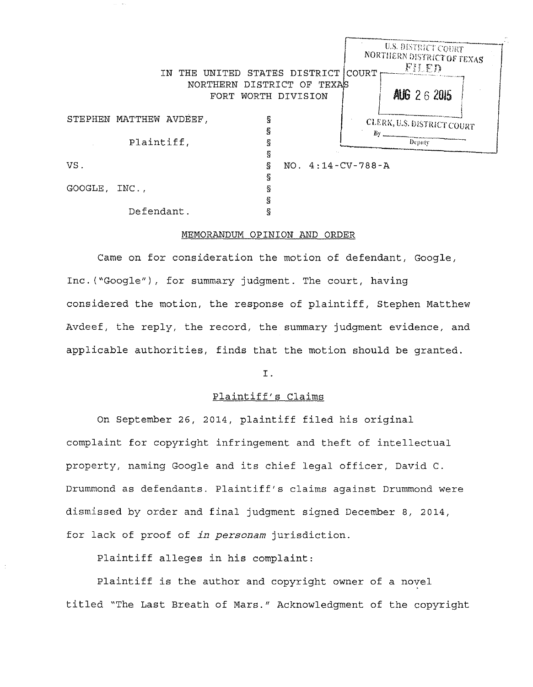|         | IN THE UNITED           | STATES DISTRICT COURT                        |                     |     | U.S. DISTRICT COURT<br>NORTHERN DISTRICT OF TEXAS<br>FIFD |  |
|---------|-------------------------|----------------------------------------------|---------------------|-----|-----------------------------------------------------------|--|
|         | FORT.                   | NORTHERN DISTRICT OF TEXAS<br>WORTH DIVISION |                     |     | AUG 26 2015                                               |  |
|         | STEPHEN MATTHEW AVDEEF, | Ş                                            |                     |     | CLERK, U.S. DISTRICT COURT                                |  |
|         | Plaintiff,              |                                              |                     | By. | Depaty                                                    |  |
| VS.     |                         | ş<br>S.                                      | $NO. 4:14-CV-788-A$ |     |                                                           |  |
| GOOGLE, | INC.,                   | S<br>ş                                       |                     |     |                                                           |  |
|         | Defendant.              |                                              |                     |     |                                                           |  |

# MEMORANDUM OPINION AND ORDER

Came on for consideration the motion of defendant, Google, Inc. ("Google"), for summary judgment. The court, having considered the motion, the response of plaintiff, Stephen Matthew Avdeef, the reply, the record, the summary judgment evidence, and applicable authorities, finds that the motion should be granted.

I.

# Plaintiff's Claims

On September 26, 2014, plaintiff filed his original complaint for copyright infringement and theft of intellectual property, naming Google and its chief legal officer, David C. Drummond as defendants. Plaintiff's claims against Drummond were dismissed by order and final judgment signed December 8, 2014, for lack of proof of *in personam* jurisdiction.

Plaintiff alleges in his complaint:

Plaintiff is the author and copyright owner of a novel titled "The Last Breath of Mars." Acknowledgment of the copyright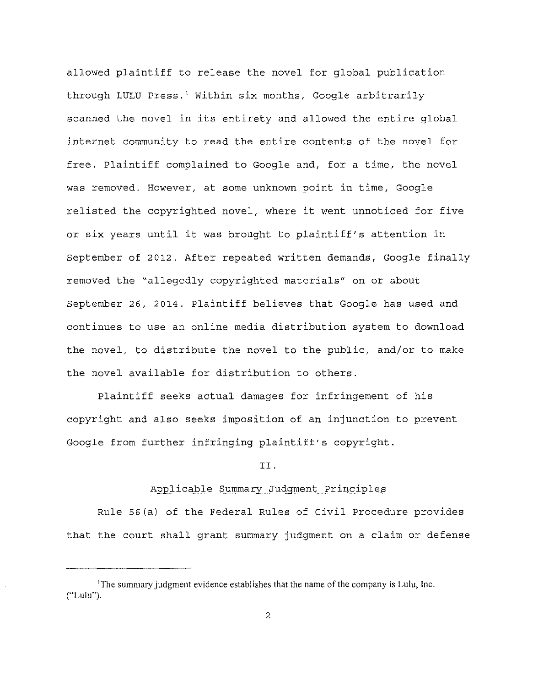allowed plaintiff to release the novel for global publication through LULU Press.' Within six months, Google arbitrarily scanned the novel in its entirety and allowed the entire global internet community to read the entire contents of the novel for free. Plaintiff complained to Google and, for a time, the novel was removed. However, at some unknown point in time, Google relisted the copyrighted novel, where it went unnoticed for five or six years until it was brought to plaintiff's attention in September of 2012. After repeated written demands, Google finally removed the "allegedly copyrighted materials" on or about September 26, 2014. Plaintiff believes that Google has used and continues to use an online media distribution system to download the novel, to distribute the novel to the public, and/or to make the novel available for distribution to others.

Plaintiff seeks actual damages for infringement of his copyright and also seeks imposition of an injunction to prevent Google from further infringing plaintiff's copyright.

#### II.

### Applicable Summary Judgment Principles

Rule 56(a) of the Federal Rules of Civil Procedure provides that the court shall grant summary judgment on a claim or defense

<sup>&#</sup>x27;The summary judgment evidence establishes that the name of the company is Lulu, Inc. ("Lulu").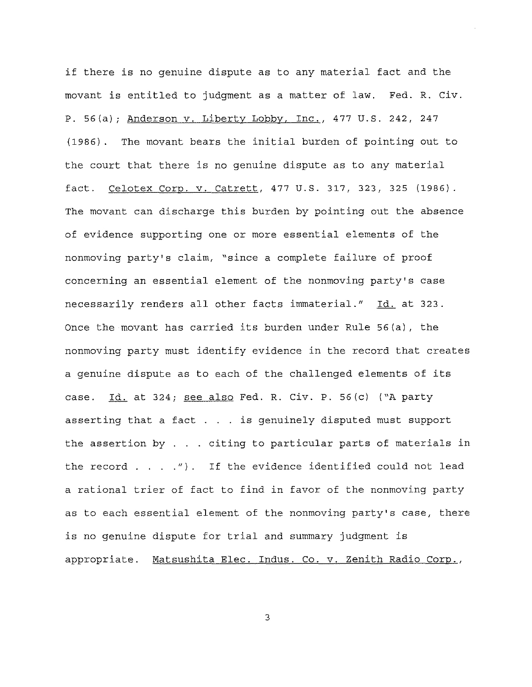if there is no genuine dispute as to any material fact and the movant is entitled to judgment as a matter of law. Fed. R. Civ. P. 56(a); Anderson v. Liberty Lobby, Inc., 477 u.s. 242, 247 (1986). The movant bears the initial burden of pointing out to the court that there is no genuine dispute as to any material fact. Celotex Corp. v. Catrett, 477 U.S. 317, 323, 325 (1986). The movant can discharge this burden by pointing out the absence of evidence supporting one or more essential elements of the nonmoving party's claim, "since a complete failure of proof concerning an essential element of the nonmoving party's case necessarily renders all other facts immaterial." Id. at 323. once the movant has carried its burden under Rule 56(a), the nonmoving party must identify evidence in the record that creates a genuine dispute as to each of the challenged elements of its case. Id. at 324; see also Fed. R. Civ. P. 56(c) ("A party asserting that a fact . . . is genuinely disputed must support the assertion by  $\ldots$  citing to particular parts of materials in the record  $. . . .$ "). If the evidence identified could not lead a rational trier of fact to find in favor of the nonmoving party as to each essential element of the nonmoving party's case, there is no genuine dispute for trial and summary judgment is appropriate. Matsushita Elec. Indus. Co. v. Zenith Radio Corp.,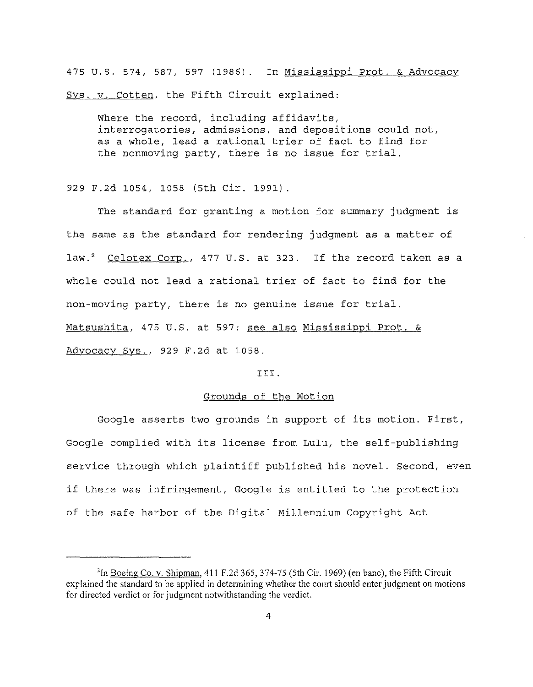475 u.s. 574, 587, 597 (1986). In Mississippi Prot. & Advocacy Sys. v. Cotten, the Fifth Circuit explained:

Where the record, including affidavits, interrogatories, admissions, and depositions could not, as a whole, lead a rational trier of fact to find for the nonmoving party, there is no issue for trial.

929 F.2d 1054, 1058 (5th Cir. 1991).

The standard for granting a motion for summary judgment is the same as the standard for rendering judgment as a matter of law.<sup>2</sup> Celotex Corp., 477 U.S. at 323. If the record taken as a whole could not lead a rational trier of fact to find for the non-moving party, there is no genuine issue for trial. Matsushita, 475 u.s. at 597; see also Mississippi Prot. & Advocacy Sys., 929 F.2d at 1058.

### III.

# Grounds of the Motion

Google asserts two grounds in support of its motion. First, Google complied with its license from Lulu, the self-publishing service through which plaintiff published his novel. Second, even if there was infringement, Google is entitled to the protection of the safe harbor of the Digital Millennium Copyright Act

<sup>&</sup>lt;sup>2</sup>In <u>Boeing Co. v. Shipman</u>, 411 F.2d 365, 374-75 (5th Cir. 1969) (en banc), the Fifth Circuit explained the standard to be applied in determining whether the court should enter judgment on motions for directed verdict or for judgment notwithstanding the verdict.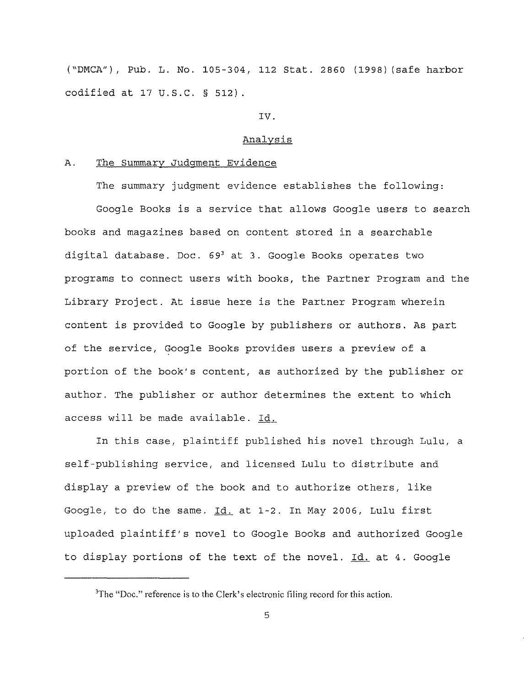("DMCA"), Pub. L. No. 105-304, 112 Stat. 2860 (1998) (safe harbor codified at 17 U.S.C. § 512).

### IV.

# Analysis

#### A. The Summary Judgment Evidence

The summary judgment evidence establishes the following: Google Books is a service that allows Google users to search books and magazines based on content stored in a searchable digital database. Doc.  $69<sup>3</sup>$  at 3. Google Books operates two programs to connect users with books, the Partner Program and the Library Project. At issue here is the Partner Program wherein content is provided to Google by publishers or authors. As part of the service, Google Books provides users a preview of a portion of the book's content, as authorized by the publisher or author. The publisher or author determines the extent to which access will be made available. Id.

In this case, plaintiff published his novel through Lulu, a self-publishing service, and licensed Lulu to distribute and display a preview of the book and to authorize others, like Google, to do the same. Id. at 1-2. In May 2006, Lulu first uploaded plaintiff's novel to Google Books and authorized Google to display portions of the text of the novel. Id. at 4. Google

 ${}^{3}$ The "Doc." reference is to the Clerk's electronic filing record for this action.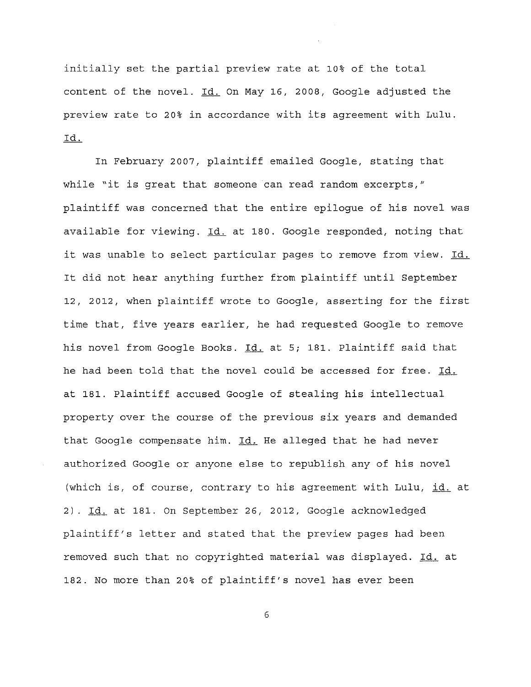initially set the partial preview rate at 10% of the total content of the novel. Id. On May 16, 2008, Google adjusted the preview rate to 20% in accordance with its agreement with Lulu. Id.

In February 2007, plaintiff emailed Google, stating that while "it is great that someone can read random excerpts," plaintiff was concerned that the entire epilogue of his novel was available for viewing. Id. at 180. Google responded, noting that it was unable to select particular pages to remove from view. Id. It did not hear anything further from plaintiff until September 12, 2012, when plaintiff wrote to Google, asserting for the first time that, five years earlier, he had requested Google to remove his novel from Google Books. Id. at 5; 181. Plaintiff said that he had been told that the novel could be accessed for free. Id. at 181. Plaintiff accused Google of stealing his intellectual property over the course of the previous six years and demanded that Google compensate him. Id. He alleged that he had never authorized Google or anyone else to republish any of his novel (which is, of course, contrary to his agreement with Lulu, id. at 2). Id. at 181. On September 26, 2012, Google acknowledged plaintiff's letter and stated that the preview pages had been removed such that no copyrighted material was displayed. Id. at 182. No more than 20% of plaintiff's novel has ever been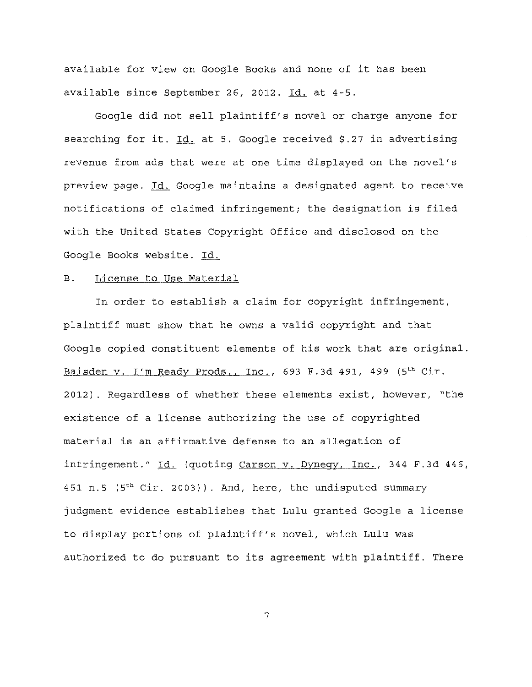available for view on Google Books and none of it has been available since September 26, 2012. Id. at 4-5.

Google did not sell plaintiff's novel or charge anyone for searching for it. Id. at 5. Google received \$.27 in advertising revenue from ads that were at one time displayed on the novel's preview page. Id. Google maintains a designated agent to receive notifications of claimed infringement; the designation is filed with the United States Copyright Office and disclosed on the Google Books website. Id.

### B. License to Use Material

In order to establish a claim for copyright infringement, plaintiff must show that he owns a valid copyright and that Google copied constituent elements of his work that are original. Baisden v. I'm Ready Prods., Inc., 693 F.3d 491, 499 (5th Cir. 2012). Regardless of whether these elements exist, however, "the existence of a license authorizing the use of copyrighted material is an affirmative defense to an allegation of infringement." Id. (quoting Carson v. Dynegy, Inc., 344 F.3d 446, 451 n.5 ( $5<sup>th</sup> Cir. 2003$ )). And, here, the undisputed summary judgment evidence establishes that Lulu granted Google a license to display portions of plaintiff's novel, which Lulu was authorized to do pursuant to its agreement with plaintiff. There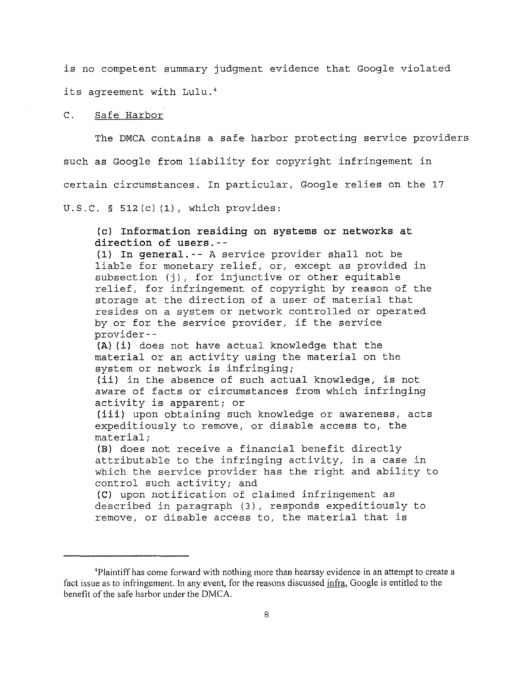is no competent summary judgment evidence that Google violated its agreement with Lulu.'

### C. Safe Harbor

The DMCA contains a safe harbor protecting service providers such as Google from liability for copyright infringement in certain circumstances. In particular, Google relies on the 17 U.S.C. § 512(c) (1), which provides:

**(c) Information residing on systems or networks at direction of users.--** (1) **In general.--** A service provider shall not be

liable for monetary relief, or, except as provided in subsection (j), for injunctive or other equitable relief, for infringement of copyright by reason of the storage at the direction of a user of material that resides on a system or network controlled or operated by or for the service provider, if the service provider--

**(A) (i)** does not have actual knowledge that the material or an activity using the material on the system or network is infringing;

**(ii)** in the absence of such actual knowledge, is not aware of facts or circumstances from which infringing activity is apparent; or

**(iii)** upon obtaining such knowledge or awareness, acts expeditiously to remove, or disable access to, the material;

**(B)** does not receive a financial benefit directly attributable to the infringing activity, in a case in which the service provider has the right and ability to control such activity; and

**(C)** upon notification of claimed infringement as described in paragraph (3), responds expeditiously to remove, or disable access to, the material that is

<sup>&#</sup>x27;Plaintiff has come forward with nothing more than hearsay evidence in an attempt to create a fact issue as to infringement. In any event, for the reasons discussed infra, Google is entitled to the benefit of the safe harbor under the DMCA.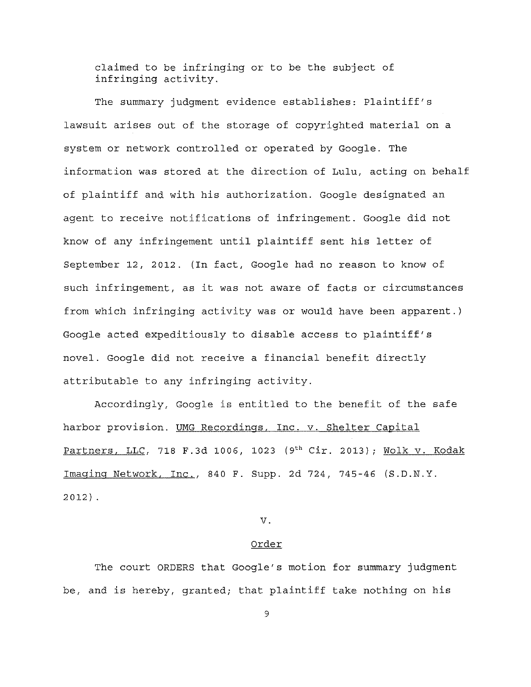claimed to be infringing or to be the subject of infringing activity.

The summary judgment evidence establishes: Plaintiff's lawsuit arises out of the storage of copyrighted material on a system or network controlled or operated by Google. The information was stored at the direction of Lulu, acting on behalf of plaintiff and with his authorization. Google designated an agent to receive notifications of infringement. Google did not know of any infringement until plaintiff sent his letter of September 12, 2012. (In fact, Google had no reason to know of such infringement, as it was not aware of facts or circumstances from which infringing activity was or would have been apparent.) Google acted expeditiously to disable access to plaintiff's novel. Google did not receive a financial benefit directly attributable to any infringing activity.

Accordingly, Google is entitled to the benefit of the safe harbor provision. UMG Recordings, Inc. v. Shelter Capital Partners, LLC, 718 F.3d 1006, 1023 (9<sup>th</sup> Cir. 2013); Wolk v. Kodak Imaging Network, Inc., 840 F. Supp. 2d 724, 745-46 (S.D.N.Y. 2012).

### v.

#### Order

The court ORDERS that Google's motion for summary judgment be, and is hereby, granted; that plaintiff take nothing on his